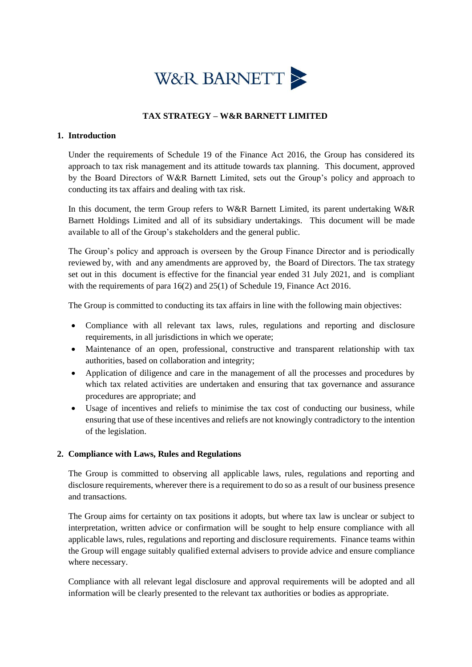

### **TAX STRATEGY – W&R BARNETT LIMITED**

#### **1. Introduction**

Under the requirements of Schedule 19 of the Finance Act 2016, the Group has considered its approach to tax risk management and its attitude towards tax planning. This document, approved by the Board Directors of W&R Barnett Limited, sets out the Group's policy and approach to conducting its tax affairs and dealing with tax risk.

In this document, the term Group refers to W&R Barnett Limited, its parent undertaking W&R Barnett Holdings Limited and all of its subsidiary undertakings. This document will be made available to all of the Group's stakeholders and the general public.

The Group's policy and approach is overseen by the Group Finance Director and is periodically reviewed by, with and any amendments are approved by, the Board of Directors. The tax strategy set out in this document is effective for the financial year ended 31 July 2021, and is compliant with the requirements of para 16(2) and 25(1) of Schedule 19, Finance Act 2016.

The Group is committed to conducting its tax affairs in line with the following main objectives:

- Compliance with all relevant tax laws, rules, regulations and reporting and disclosure requirements, in all jurisdictions in which we operate;
- Maintenance of an open, professional, constructive and transparent relationship with tax authorities, based on collaboration and integrity;
- Application of diligence and care in the management of all the processes and procedures by which tax related activities are undertaken and ensuring that tax governance and assurance procedures are appropriate; and
- Usage of incentives and reliefs to minimise the tax cost of conducting our business, while ensuring that use of these incentives and reliefs are not knowingly contradictory to the intention of the legislation.

#### **2. Compliance with Laws, Rules and Regulations**

The Group is committed to observing all applicable laws, rules, regulations and reporting and disclosure requirements, wherever there is a requirement to do so as a result of our business presence and transactions.

The Group aims for certainty on tax positions it adopts, but where tax law is unclear or subject to interpretation, written advice or confirmation will be sought to help ensure compliance with all applicable laws, rules, regulations and reporting and disclosure requirements. Finance teams within the Group will engage suitably qualified external advisers to provide advice and ensure compliance where necessary.

Compliance with all relevant legal disclosure and approval requirements will be adopted and all information will be clearly presented to the relevant tax authorities or bodies as appropriate.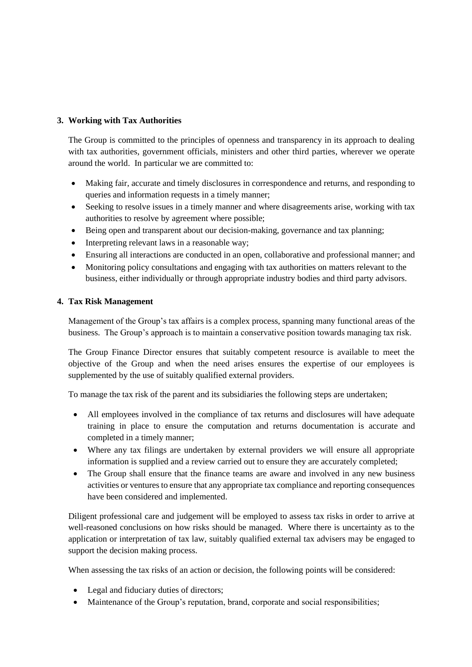# **3. Working with Tax Authorities**

The Group is committed to the principles of openness and transparency in its approach to dealing with tax authorities, government officials, ministers and other third parties, wherever we operate around the world. In particular we are committed to:

- Making fair, accurate and timely disclosures in correspondence and returns, and responding to queries and information requests in a timely manner;
- Seeking to resolve issues in a timely manner and where disagreements arise, working with tax authorities to resolve by agreement where possible;
- Being open and transparent about our decision-making, governance and tax planning;
- Interpreting relevant laws in a reasonable way;
- Ensuring all interactions are conducted in an open, collaborative and professional manner; and
- Monitoring policy consultations and engaging with tax authorities on matters relevant to the business, either individually or through appropriate industry bodies and third party advisors.

## **4. Tax Risk Management**

Management of the Group's tax affairs is a complex process, spanning many functional areas of the business. The Group's approach is to maintain a conservative position towards managing tax risk.

The Group Finance Director ensures that suitably competent resource is available to meet the objective of the Group and when the need arises ensures the expertise of our employees is supplemented by the use of suitably qualified external providers.

To manage the tax risk of the parent and its subsidiaries the following steps are undertaken;

- All employees involved in the compliance of tax returns and disclosures will have adequate training in place to ensure the computation and returns documentation is accurate and completed in a timely manner;
- Where any tax filings are undertaken by external providers we will ensure all appropriate information is supplied and a review carried out to ensure they are accurately completed;
- The Group shall ensure that the finance teams are aware and involved in any new business activities or ventures to ensure that any appropriate tax compliance and reporting consequences have been considered and implemented.

Diligent professional care and judgement will be employed to assess tax risks in order to arrive at well-reasoned conclusions on how risks should be managed. Where there is uncertainty as to the application or interpretation of tax law, suitably qualified external tax advisers may be engaged to support the decision making process.

When assessing the tax risks of an action or decision, the following points will be considered:

- Legal and fiduciary duties of directors;
- Maintenance of the Group's reputation, brand, corporate and social responsibilities;